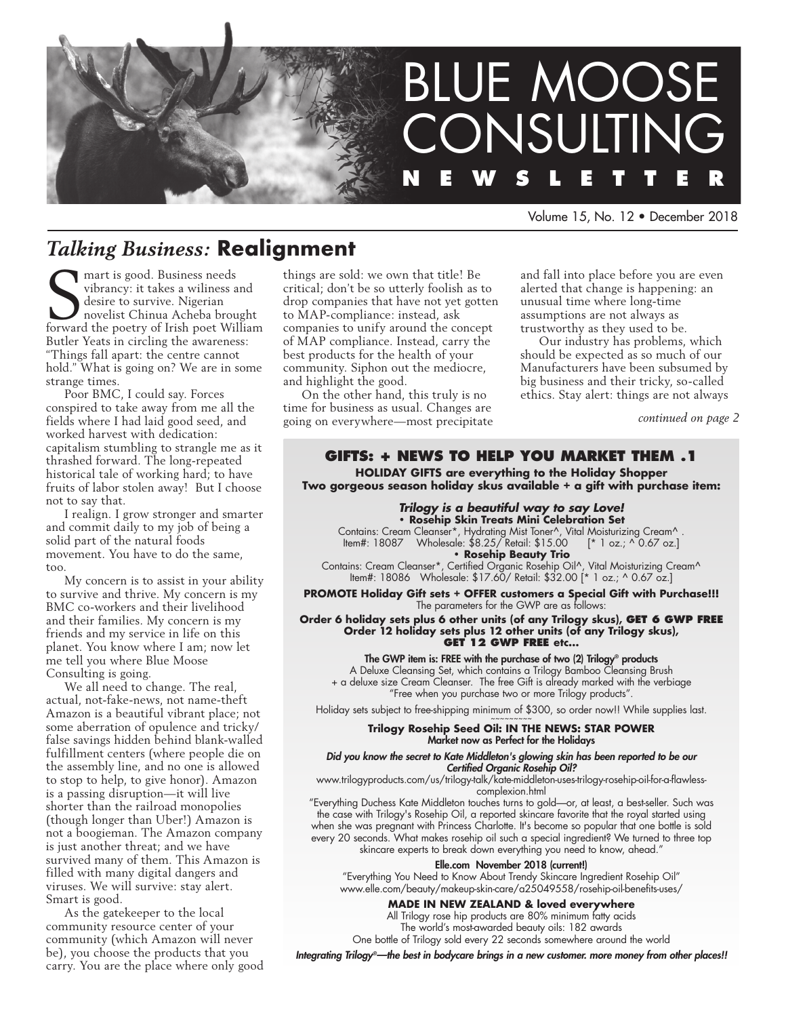

Volume 15, No. 12 • December 2018

# *Talking Business:* **Realignment**

mart is good. Business needs<br>
vibrancy: it takes a wiliness and<br>
desire to survive. Nigerian<br>
novelist Chinua Acheba brought<br>
forward the poetry of Irish poet William mart is good. Business needs vibrancy: it takes a wiliness and desire to survive. Nigerian novelist Chinua Acheba brought Butler Yeats in circling the awareness: "Things fall apart: the centre cannot hold." What is going on? We are in some strange times.

Poor BMC, I could say. Forces conspired to take away from me all the fields where I had laid good seed, and worked harvest with dedication: capitalism stumbling to strangle me as it thrashed forward. The long-repeated historical tale of working hard; to have fruits of labor stolen away! But I choose not to say that.

I realign. I grow stronger and smarter and commit daily to my job of being a solid part of the natural foods movement. You have to do the same, too.

My concern is to assist in your ability to survive and thrive. My concern is my BMC co-workers and their livelihood and their families. My concern is my friends and my service in life on this planet. You know where I am; now let me tell you where Blue Moose Consulting is going.

We all need to change. The real, actual, not-fake-news, not name-theft Amazon is a beautiful vibrant place; not some aberration of opulence and tricky/ false savings hidden behind blank-walled fulfillment centers (where people die on the assembly line, and no one is allowed to stop to help, to give honor). Amazon is a passing disruption—it will live shorter than the railroad monopolies (though longer than Uber!) Amazon is not a boogieman. The Amazon company is just another threat; and we have survived many of them. This Amazon is filled with many digital dangers and viruses. We will survive: stay alert. Smart is good.

As the gatekeeper to the local community resource center of your community (which Amazon will never be), you choose the products that you carry. You are the place where only good things are sold: we own that title! Be critical; don't be so utterly foolish as to drop companies that have not yet gotten to MAP-compliance: instead, ask companies to unify around the concept of MAP compliance. Instead, carry the best products for the health of your community. Siphon out the mediocre, and highlight the good.

On the other hand, this truly is no time for business as usual. Changes are going on everywhere—most precipitate and fall into place before you are even alerted that change is happening: an unusual time where long-time assumptions are not always as trustworthy as they used to be.

Our industry has problems, which should be expected as so much of our Manufacturers have been subsumed by big business and their tricky, so-called ethics. Stay alert: things are not always

*continued on page 2*

## **GIFTS: + news to help you market them .1**

**HOLIDAY GIFTS are everything to the Holiday Shopper Two gorgeous season holiday skus available + a gift with purchase item:**

#### *Trilogy is a beautiful way to say Love!* **• Rosehip Skin Treats Mini Celebration Set**

Contains: Cream Cleanser\*, Hydrating Mist Toner^, Vital Moisturizing Cream^ .<br>| ltem#: 18087 Wholesale: \$8.25/ Retail: \$15.00 [\* 1 oz.; ^ 0.67 oz.] Item#: 18087 Wholesale: \$8.25/ Retail: \$15.00 **• Rosehip Beauty Trio**

Contains: Cream Cleanser\*, Certified Organic Rosehip Oil^, Vital Moisturizing Cream^ Item#: 18086 Wholesale: \$17.60/ Retail: \$32.00 [\* 1 oz.; ^ 0.67 oz.]

**PROMOTE Holiday Gift sets + OFFER customers a Special Gift with Purchase!!!** The parameters for the GWP are as follows:

**Order 6 holiday sets plus 6 other units (of any Trilogy skus), get 6 GWP Free Order 12 holiday sets plus 12 other units (of any Trilogy skus), get 12 GWP Free etc…**

The GWP item is: FREE with the purchase of two (2) Trilogy® products A Deluxe Cleansing Set, which contains a Trilogy Bamboo Cleansing Brush + a deluxe size Cream Cleanser. The free Gift is already marked with the verbiage

"Free when you purchase two or more Trilogy products".

Holiday sets subject to free-shipping minimum of \$300, so order now!! While supplies last.

#### **Trilogy Rosehip Seed Oil: IN THE NEWS: STAR POWER** Market now as Perfect for the Holidays

*Did you know the secret to Kate Middleton's glowing skin has been reported to be our Certified Organic Rosehip Oil?* 

www.trilogyproducts.com/us/trilogy-talk/kate-middleton-uses-trilogy-rosehip-oil-for-a-flawlesscomplexion.html

"Everything Duchess Kate Middleton touches turns to gold—or, at least, a best-seller. Such was the case with Trilogy's Rosehip Oil, a reported skincare favorite that the royal started using when she was pregnant with Princess Charlotte. It's become so popular that one bottle is sold every 20 seconds. What makes rosehip oil such a special ingredient? We turned to three top skincare experts to break down everything you need to know, ahead."

#### Elle.com November 2018 (current!)

"Everything You Need to Know About Trendy Skincare Ingredient Rosehip Oil" www.elle.com/beauty/makeup-skin-care/a25049558/rosehip-oil-benefits-uses/

### **MADE IN NEW ZEALAND & loved everywhere**

All Trilogy rose hip products are 80% minimum fatty acids The world's most-awarded beauty oils: 182 awards

One bottle of Trilogy sold every 22 seconds somewhere around the world

*Integrating Trilogy®—the best in bodycare brings in a new customer. more money from other places!!*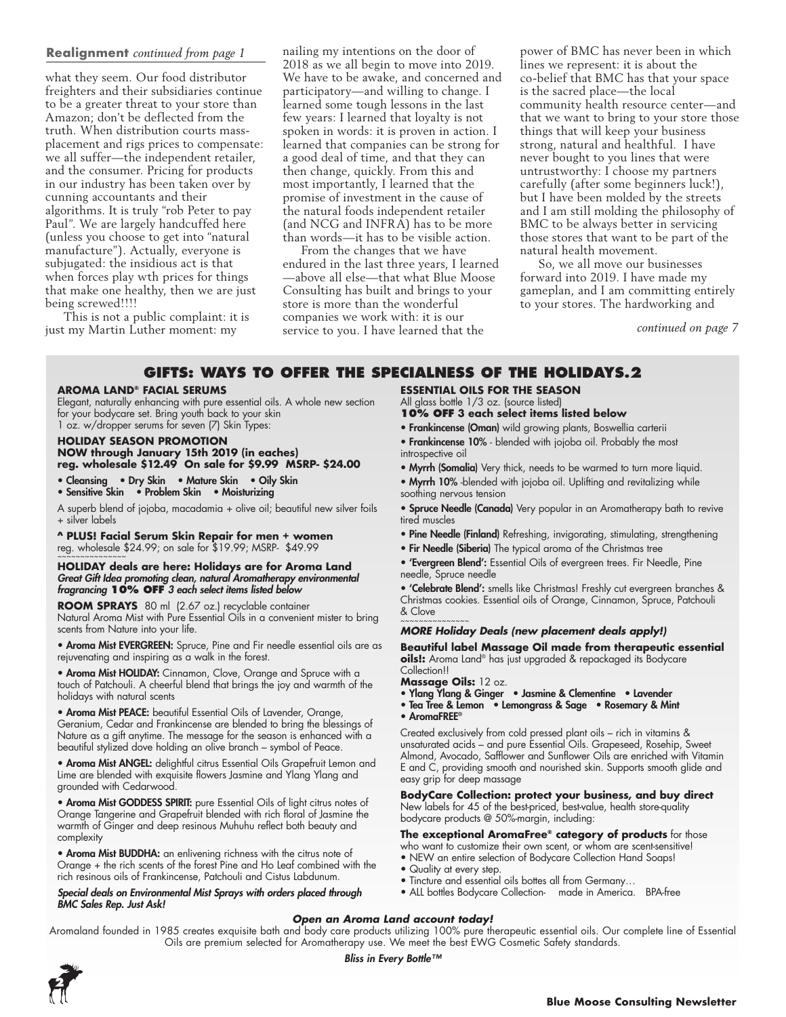### **Realignment** *continued from page 1*

what they seem. Our food distributor freighters and their subsidiaries continue to be a greater threat to your store than Amazon; don't be deflected from the truth. When distribution courts massplacement and rigs prices to compensate: we all suffer—the independent retailer, and the consumer. Pricing for products in our industry has been taken over by cunning accountants and their algorithms. It is truly "rob Peter to pay Paul". We are largely handcuffed here (unless you choose to get into "natural manufacture"). Actually, everyone is subjugated: the insidious act is that when forces play wth prices for things that make one healthy, then we are just being screwed!!!!

This is not a public complaint: it is just my Martin Luther moment: my

nailing my intentions on the door of 2018 as we all begin to move into 2019. We have to be awake, and concerned and participatory—and willing to change. I learned some tough lessons in the last few years: I learned that loyalty is not spoken in words: it is proven in action. I learned that companies can be strong for a good deal of time, and that they can then change, quickly. From this and most importantly, I learned that the promise of investment in the cause of the natural foods independent retailer (and NCG and INFRA) has to be more than words—it has to be visible action.

From the changes that we have endured in the last three years, I learned —above all else—that what Blue Moose Consulting has built and brings to your store is more than the wonderful companies we work with: it is our service to you. I have learned that the

power of BMC has never been in which lines we represent: it is about the co-belief that BMC has that your space is the sacred place—the local community health resource center—and that we want to bring to your store those things that will keep your business strong, natural and healthful. I have never bought to you lines that were untrustworthy: I choose my partners carefully (after some beginners luck!), but I have been molded by the streets and I am still molding the philosophy of BMC to be always better in servicing those stores that want to be part of the natural health movement.

So, we all move our businesses forward into 2019. I have made my gameplan, and I am committing entirely to your stores. The hardworking and

*continued on page 7*

### **GIFTS: ways to offer the specialness of the Holidays.2**

#### **Aroma Land® Facial Serums**

Elegant, naturally enhancing with pure essential oils. A whole new section for your bodycare set. Bring youth back to your skin 1 oz. w/dropper serums for seven (7) Skin Types:

**HOLIDAY SEASON PROMOTION NOW through January 15th 2019 (in eaches) reg. wholesale \$12.49 On sale for \$9.99 MSRP- \$24.00**

• Cleansing • Dry Skin • Mature Skin • Oily Skin

• Sensitive Skin • Problem Skin • Moisturizing

A superb blend of jojoba, macadamia + olive oil; beautiful new silver foils + silver labels

**^ PLUS! Facial Serum Skin Repair for men + women**  reg. wholesale \$24.99; on sale for \$19.99; MSRP- \$49.99

**HOLIDAY deals are here: Holidays are for Aroma Land** *Great Gift Idea promoting clean, natural Aromatherapy environmental fragrancing* **10% OFF** *3 each select items listed below* 

**Room Sprays** 80 ml (2.67 oz.) recyclable container Natural Aroma Mist with Pure Essential Oils in a convenient mister to bring scents from Nature into your life.

• Aroma Mist EVERGREEN: Spruce, Pine and Fir needle essential oils are as rejuvenating and inspiring as a walk in the forest.

• Aroma Mist HOLIDAY: Cinnamon, Clove, Orange and Spruce with a touch of Patchouli. A cheerful blend that brings the joy and warmth of the holidays with natural scents

• Aroma Mist PEACE: beautiful Essential Oils of Lavender, Orange, Geranium, Cedar and Frankincense are blended to bring the blessings of Nature as a gift anytime. The message for the season is enhanced with a beautiful stylized dove holding an olive branch – symbol of Peace.

• Aroma Mist ANGEL: delightful citrus Essential Oils Grapefruit Lemon and Lime are blended with exquisite flowers Jasmine and Ylang Ylang and grounded with Cedarwood.

• Aroma Mist GODDESS SPIRIT: pure Essential Oils of light citrus notes of Orange Tangerine and Grapefruit blended with rich floral of Jasmine the warmth of Ginger and deep resinous Muhuhu reflect both beauty and complexity

• Aroma Mist BUDDHA: an enlivening richness with the citrus note of Orange + the rich scents of the forest Pine and Ho Leaf combined with the rich resinous oils of Frankincense, Patchouli and Cistus Labdunum.

*Special deals on Environmental Mist Sprays with orders placed through BMC Sales Rep. Just Ask!*

**Essential oils for the season** All glass bottle 1/3 oz. (source listed)

- **10% OFF 3 each select items listed below**
- **Frankincense (Oman)** wild growing plants, Boswellia carterii
- Frankincense 10% blended with jojoba oil. Probably the most introspective oil
- Myrrh (Somalia) Very thick, needs to be warmed to turn more liquid.
- Myrrh 10% -blended with jojoba oil. Uplifting and revitalizing while soothing nervous tension

**• Spruce Needle (Canada)** Very popular in an Aromatherapy bath to revive tired muscles

- Pine Needle (Finland) Refreshing, invigorating, stimulating, strengthening
- Fir Needle (Siberia) The typical aroma of the Christmas tree
- 'Evergreen Blend': Essential Oils of evergreen trees. Fir Needle, Pine needle, Spruce needle

• 'Celebrate Blend': smells like Christmas! Freshly cut evergreen branches & Christmas cookies. Essential oils of Orange, Cinnamon, Spruce, Patchouli & Clove ~~~~~~~~~~~~~~~

#### *MORE Holiday Deals (new placement deals apply!)*

**Beautiful label Massage Oil made from therapeutic essential oils!:** Aroma Land® has just upgraded & repackaged its Bodycare Collection!!

**Massage Oils:** 12 oz.

- Ylang Ylang & Ginger Jasmine & Clementine Lavender
- Tea Tree & Lemon Lemongrass & Sage Rosemary & Mint • AromaFREE®

Created exclusively from cold pressed plant oils – rich in vitamins & unsaturated acids – and pure Essential Oils. Grapeseed, Rosehip, Sweet Almond, Avocado, Safflower and Sunflower Oils are enriched with Vitamin E and C, providing smooth and nourished skin. Supports smooth glide and easy grip for deep massage

**BodyCare Collection: protect your business, and buy direct** New labels for 45 of the best-priced, best-value, health store-quality bodycare products @ 50%-margin, including:

**The exceptional AromaFree® category of products** for those

- who want to customize their own scent, or whom are scent-sensitive!
- NEW an entire selection of Bodycare Collection Hand Soaps!
- Quality at every step.
- Tincture and essential oils bottes all from Germany…
- ALL bottles Bodycare Collection- made in America. BPA-free

#### *Open an Aroma Land account today!*

Aromaland founded in 1985 creates exquisite bath and body care products utilizing 100% pure therapeutic essential oils. Our complete line of Essential Oils are premium selected for Aromatherapy use. We meet the best EWG Cosmetic Safety standards.

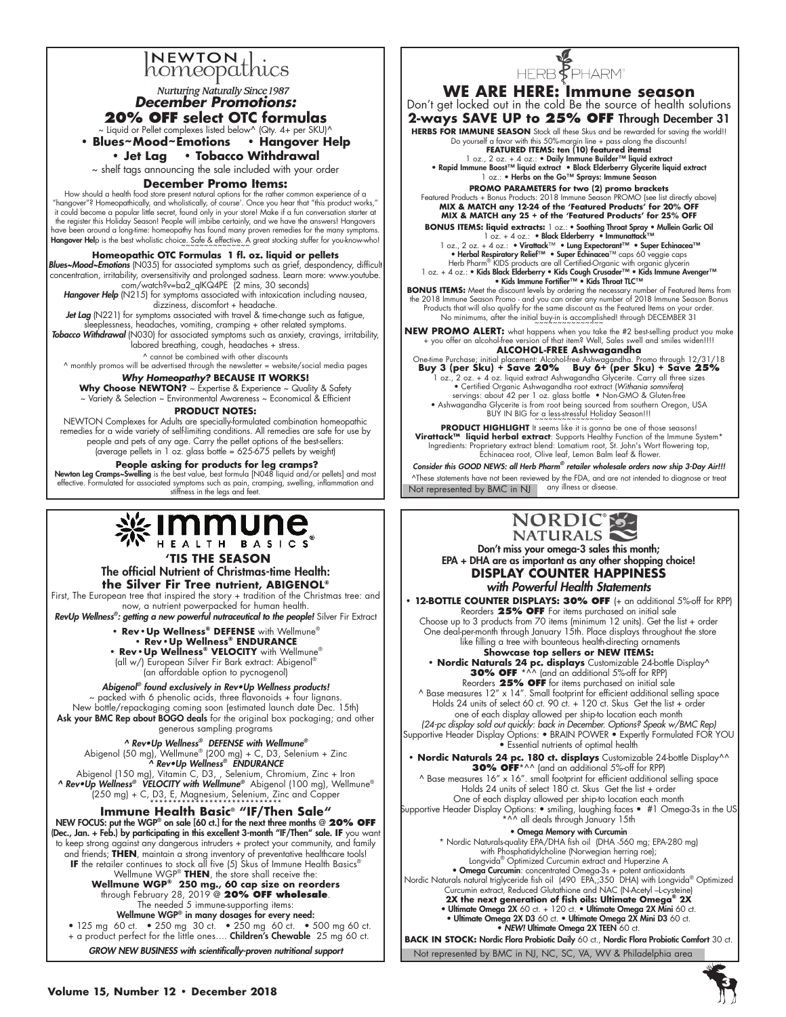### **NEWTON** homeopathics

**Nurturing Naturally Since 1987** *December Promotions:* 

**20% OFF select OTC formulas** 

 $\sim$  Liquid or Pellet complexes listed below^ (Qty. 4+ per SKU)^

**• Blues~Mood~Emotions • Hangover Help • Jet Lag • Tobacco Withdrawal** 

~ shelf tags announcing the sale included with your order

### **December Promo Items:**

"How should a health food store present natural options for the rather common experience of a<br>"hangover"? Homeopathically, and wholistically, of course'. Once you hear that "this product works,"<br>it could become a popular l the register this Holiday Season! People will imbibe certainly, and we have the answers! Hangovers have been around a long-time: homeopathy has found many proven remedies for the many symptoms Hangover Help is the best wholistic choice. Safe & effective. A great stocking stuffer for you-know-who!

#### **Homeopathic OTC Formulas 1 fl. oz. liquid or pellets**

**Blues~Mood~Emotions** (N035) for associated symptoms such as grief, despondency, difficult concentration, irritability, oversensitivity and prolonged sadness. Learn more: www.youtube.<br>com/watch?v=ba2\_qlKQ4PE (2 mins, 30 se

Hangover Help (N215) for symptoms associated with intoxication including nausea, dizziness, discomfort + headache.

Jet Lag (N221) for symptoms associated with travel & time-change such as fatigue, eplessness, headaches, vomiting, cramping + other related symptoms.

*Tobacco Withdrawal* (N030) for associated symptoms such as anxiety, cravings, irritability, labored breathing, cough, headaches + stress.

^ cannot be combined with other discounts

^ monthly promos will be advertised through the newsletter = website/social media pages

### *Why Homeopathy?* **BECAUSE IT WORKS!**

**Why Choose NEWTON?** ~ Expertise & Experience ~ Quality & Safety ~ Variety & Selection ~ Environmental Awareness ~ Economical & Efficient

### **Product NOTES:**

NEWTON Complexes for Adults are specially-formulated combination homeopathic remedies for a wide variety of self-limiting conditions. All remedies are safe for use by people and pets of any age. Carry the pellet options of the best-sellers: (average pellets in 1 oz. glass bottle = 625-675 pellets by weight)

 **People asking for products for leg cramps?** 

Newton Leg Cramps~Swelling is the best value, best formula [N048 liquid and/or pellets] and most effective. Formulated for associated symptoms such as pain, cramping, swelling, inflammation and stiffness in the legs and feet.

# 

### **'TIS THE SEASON**

The official Nutrient of Christmas-time Health: **the Silver Fir Tree nutrient, ABIGENOL®**

First, The European tree that inspired the story + tradition of the Christmas tree: and now, a nutrient powerpacked for human health.

*RevUp Wellness®: getting a new powerful nutraceutical to the people!* Silver Fir Extract

**• Rev•Up Wellness® DEFENSE** with Wellmune®

**• Rev•Up Wellness® ENDURANCE • Rev•Up Wellness® VELOCITY** with Wellmune® (all w/) European Silver Fir Bark extract: Abigenol® (an affordable option to pycnogenol)

*Abigenol®* found exclusively in Rev•Up Wellness products! packed with 6 phenolic acids, three flavonoids + four lignans. New bottle/repackaging coming soon (estimated launch date Dec. 15th) Ask your BMC Rep about BOGO deals for the original box packaging; and other generous sampling programs

#### ^ Rev•Up Wellness*® DEFENSE with Wellmune®*

Abigenol (50 mg), Wellmune® (200 mg) + C, D3, Selenium + Zinc ^ Rev•Up Wellness*® ENDURANCE*  Abigenol (150 mg), Vitamin C, D3, , Selenium, Chromium, Zinc + Iron ^ Rev•Up Wellness*® VELOCITY with Wellmune®* Abigenol (100 mg), Wellmune®

(250 mg) + C, D3, E, Magnesium, Selenium, Zinc and Copper \*\*\*\*\*\*\*\*\*\*\*\*\*\*\*\*\*\*\*\*\*\*\*\*\*\*\*\*\*

**Immune Health Basic**® **"IF/Then Sale"** NEW FOCUS: put the WGP® on sale [60 ct.] for the next three months @ **20% OFF**  (Dec., Jan. + Feb.) by participating in this excellent 3-month "IF/Then" sale. **If** you want to keep strong against any dangerous intruders + protect your community, and family and friends; **THEN**, maintain a strong inventory of preventative healthcare tools! **If** the retailer continues to stock all five (5) Skus of Immune Health Basics® Wellmune WGP® **THEN**, the store shall receive the: **Wellmune WGP® 250 mg., 60 cap size on reorders** through February 28, 2019 @ **20% OFF wholesale**.

The needed 5 immune-supporting items: Wellmune WGP® in many dosages for every need:

• 125 mg 60 ct. • 250 mg 30 ct. • 250 mg 60 ct. • 500 mg 60 ct. + a product perfect for the little ones…. Children's Chewable 25 mg 60 ct.

*GROW NEW BUSINESS with scientifically-proven nutritional support* 



**WE ARE HERE: Immune season** Don't get locked out in the cold Be the source of health solutions **2-ways SAVE UP to 25% OFF** Through December 31 **HERBS FOR IMMUNE SEASON** Stock all these Skus and be rewarded for saving the world!!

Do yourself a favor with this 50%-margin line + pass along the discounts! **FEATURED ITEMS: ten (10) featured items!**

l oz., 2 oz. + 4 oz.: • Daily Immune Builder™ liquid extract<br>• Rapid Immune Boost™ liquid extract • Black Elderberry Glycerite liquid extract<br>Doz.: • Herbs on the Go™ Sprays: Immune Season

**PROMO PARAMETERS for two (2) promo brackets**  Featured Products + Bonus Products: 2018 Immune Season PROMO (see list directly above) **MIX & MATCH any 12-24 of the 'Featured Products' for 20% OFF MIX & MATCH any 25 + of the 'Featured Products' for 25% OFF**

**BONUS ITEMS: liquid extracts:** 1 oz.: • Soothing Throat Spray • Mullein Garlic Oil<br>
1 oz., 2 oz. + 4 oz.: • Nicatok Elderberry • Immunatok<sup>TM</sup><br>
• Lung Expertanti<sup>TM</sup> • Super Echinacea<sup>TM</sup><br>
• Herbal Respiratory Relief<sup>TM</sup>

**BONUS ITEMS:** Meet the discount levels by ordering the necessary number of Featured Items from the 2018 Immune Season Promo - and you can order any number of 2018 Immune Season Bonus Products that will also qualify for the same discount as the Featured Items on your order. No minimums, after the initial buy-in is accomplished! through DECEMBER 31

**NEW PROMO ALERT:** what happens when you take the #2 best-selling product you make + you offer an alcohol-free version of that item? Well, Sales swell and smiles widen!!!!

**ALCOHOL-FREE Ashwagandha**<br>One-time Purchase; initial placement: Alcohol-free Ashwagandha. Promo through 12/31/18 Buy 3 (per Sku) + Save 20% Buy 6+ (per Sku) + Save 25%<br>- 1 oz., 2 oz. + 4 oz. liquid extract Ashwagandha Glycerie. Carry all three sizes<br>- certified Organic Ashwagandha root extract (Withania somnifera) servings: about 42 per 1 oz. glass bottle • Non-GMO & Gluten-free<br>• Ashwagandha Glycerite is from root being sourced from southern Oregon, USA<br>• BUY IN BIG for a less-stressful Holiday Season!!!<br>~~~~~~~~~~~~~~~~~~~~~~~~~~~

**PRODUCT HIGHLIGHT** It seems like it is gonna be one of those seasons!<br>\***Virattack™ liquid herbal extract**: Supports Healthy Function of the Immune System Ingredients: Proprietary extract blend: Lomatium root, St. John's Wort flowering top, Echinacea root, Olive leaf, Lemon Balm leaf & flower.

*Consider this GOOD NEWS: all Herb Pharm® retailer wholesale orders now ship 3-Day Air!!!* ^These statements have not been reviewed by the FDA, and are not intended to diagnose or treat any illness or disease.

Not represented by BMC in NJ



Don't miss your omega-3 sales this month; EPA + DHA are as important as any other shopping choice! **DISPLAY COUNTER HAPPINESS** 

*with Powerful Health Statements* **• 12-BOTTLE COUNTER DISPLAYS: 30% OFF** (+ an additional 5%-off for RPP) Reorders **25% off** for items purchased on initial sale Choose up to 3 products from 70 items (minimum 12 units). Get the list + order One deal-per-month through January 15th. Place displays throughout the store like filling a tree with bounteous health-directing ornaments **• Showcase top sellers or NEW ITEMS:**<br>• **Nordic Naturals 24 pc. displays** Customizable 24-bottle Display **30% OFF** \*^^ (and an additional 5%-off for RPP) Reorders **25% OFF** for items purchased on initial sale ^ Base measures 12" x 14". Small footprint for efficient additional selling space Holds 24 units of select 60 ct. 90 ct. + 120 ct. Skus Get the list + order one of each display allowed per ship-to location each month *(24-pc display sold out quickly: back in December. Options? Speak w/BMC Rep)* Supportive Header Display Options: • BRAIN POWER • Expertly Formulated FOR YOU • Essential nutrients of optimal health **• Nordic Naturals 24 pc. 180 ct. displays** Customizable 24-bottle Display^^ **30% OFF**\*^^ (and an additional 5%-off for RPP) ^ Base measures 16" x 16". small footprint for efficient additional selling space Holds 24 units of select 180 ct. Skus Get the list + order

One of each display allowed per ship-to location each month Supportive Header Display Options: • smiling, laughing faces • #1 Omega-3s in the US \*^^ all deals through January 15th

• Omega Memory with Curcumin \* Nordic Naturals-quality EPA/DHA fish oil (DHA -560 mg; EPA-280 mg) with Phosphatidylcholine (Norwegian herring roe); Longvida® Optimized Curcumin extract and Huperzine A • Omega Curcumin: concentrated Omega-3s + potent antioxidants<br>
Nordic Naturals natural triglyceride fish oil (490 EPA,;350 DHA) with Longvida<sup>®</sup> Optimized<br>
Curcumin extract, Reduced Glutathione and NAC (N-Acetyl -Lcysteine • Ultimate Omega 2X D3 60 ct. • Ultimate Omega 2X Mini D3 60 ct. • **NEW! Ultimate Omega 2X TEEN 60 ct. BACK IN STOCK: Nordic Flora Probiotic Daily 60 ct., Nordic Flora Probiotic Comfort 30 ct.** 

Not represented by BMC in NJ, NC, SC, VA, WV & Philadelphia area

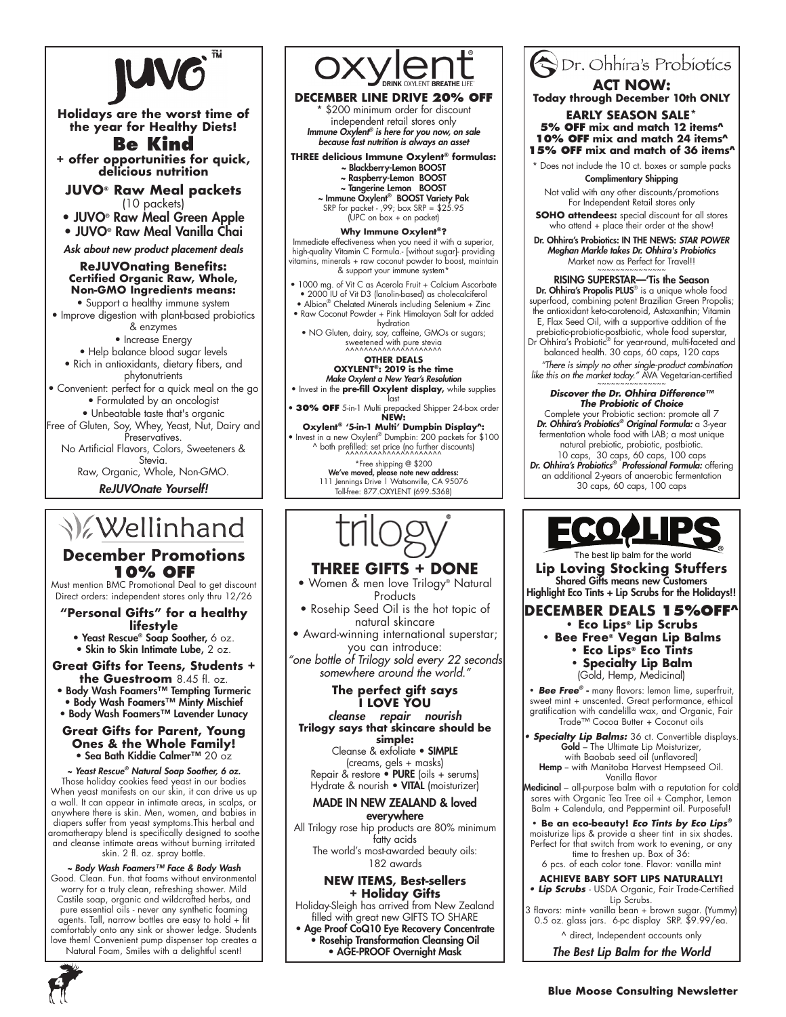

**Holidays are the worst time of the year for Healthy Diets!**

**Be Kind + offer opportunities for quick, delicious nutrition**

**JUVO® Raw Meal packets**  (10 packets)

• JUVO® Raw Meal Green Apple • JUVO® Raw Meal Vanilla Chai

*Ask about new product placement deals*

### **ReJUVOnating Benefits: Certified Organic Raw, Whole, Non-GMO Ingredients means:**

• Support a healthy immune system • Improve digestion with plant-based probiotics

& enzymes • Increase Energy

- Help balance blood sugar levels • Rich in antioxidants, dietary fibers, and phytonutrients
- Convenient: perfect for a quick meal on the go • Formulated by an oncologist

• Unbeatable taste that's organic

Free of Gluten, Soy, Whey, Yeast, Nut, Dairy and Preservatives.

No Artificial Flavors, Colors, Sweeteners & Stevia.

Raw, Organic, Whole, Non-GMO.

*ReJUVOnate Yourself!*

# **V**ellinhand

### **December Promotions 10% OFF**

Must mention BMC Promotional Deal to get discount Direct orders: independent stores only thru 12/26

#### **"Personal Gifts" for a healthy lifestyle**

• Yeast Rescue® Soap Soother, 6 oz.

• Skin to Skin Intimate Lube, 2 oz.

### **Great Gifts for Teens, Students + the Guestroom** 8.45 fl. oz.

• Body Wash Foamers™ Tempting Turmeric • Body Wash Foamers™ Minty Mischief

• Body Wash Foamers™ Lavender Lunacy

#### **Great Gifts for Parent, Young Ones & the Whole Family!** • Sea Bath Kiddie Calmer™ 20 oz

*~ Yeast Rescue® Natural Soap Soother, 6 oz.* Those holiday cookies feed yeast in our bodies When yeast manifests on our skin, it can drive us up a wall. It can appear in intimate areas, in scalps, or anywhere there is skin. Men, women, and babies in diapers suffer from yeast symptoms.This herbal and aromatherapy blend is specifically designed to soothe and cleanse intimate areas without burning irritated skin. 2 fl. oz. spray bottle.

#### *~ Body Wash Foamers™ Face & Body Wash*  Good. Clean. Fun. that foams without environmental worry for a truly clean, refreshing shower. Mild Castile soap, organic and wildcrafted herbs, and pure essential oils - never any synthetic foaming agents. Tall, narrow bottles are easy to hold + fit comfortably onto any sink or shower ledge. Students love them! Convenient pump dispenser top creates a Natural Foam, Smiles with a delightful scent!



**DECEMBER LINE DRIVE 20% OFF** \$200 minimum order for discount independent retail stores only *Immune Oxylent® is here for you now, on sale because fast nutrition is always an asset*

**THREE delicious Immune Oxylent® formulas:** ~ Blackberry-Lemon BOOST

~ Raspberry-Lemon BOOST

~ **Tangerine Lemon BOOST**<br>
~ **Immune Oxylent® BOOST Variety Pak**<br>
SRP for packet - ,99; box SRP = \$25.95<br>
(UPC on box + on packet)

#### **Why Immune Oxylent®?**

Immediate effectiveness when you need it with a superior, high-quality Vitamin C Formula.- [without sugar]- providing vitamins, minerals + raw coconut powder to boost, maintain & support your immune system\*

• 1000 mg. of Vit C as Acerola Fruit + Calcium Ascorbate • 2000 IU of Vit D3 (lanolin-based) as cholecalciferol

- Albion® Chelated Minerals including Selenium + Zinc • Raw Coconut Powder + Pink Himalayan Salt for added
- hydration NO Gluten, dairy, soy, caffeine, GMOs or sugars; sweetened with pure stevia ^^^^^^^^^^^^^^^^^^^^^

### **Other deals**

**OXYLENT®: 2019 is the time** *Make Oxylent a New Year's Resolution* • Invest in the **pre-fill Oxylent display,** while supplies

last • **30% OFF** 5-in-1 Multi prepacked Shipper 24-box order **NEW:** 

**Oxylent® '5-in-1 Multi' Dumpbin Display^:** • Invest in a new Oxylent® Dumpbin: 200 packets for \$100 ^ both prefilled: set price (no further discounts) ^^^^^^^^^^^^^^^^^^^^^

\*Free shipping @ \$200 We've moved, please note new address: 111 Jennings Drive | Watsonville, CA 95076 Toll-free: 877.OXYLENT (699.5368)

## **THREE GIFTS + DONE**

- Women & men love Trilogy® Natural **Products**
- Rosehip Seed Oil is the hot topic of natural skincare

• Award-winning international superstar; you can introduce:

*"one bottle of Trilogy sold every 22 seconds somewhere around the world."*

#### **The perfect gift says I LOVE YOU**

#### *cleanse repair nourish* **Trilogy says that skincare should be simple:**

Cleanse & exfoliate • SIMPLE (creams, gels + masks) Repair & restore  $\bullet$  PURE (oils + serums) Hydrate & nourish • VITAL (moisturizer)

#### MADE IN NEW ZEALAND & loved everywhere

All Trilogy rose hip products are 80% minimum fatty acids The world's most-awarded beauty oils: 182 awards

### **NEW ITEMS, Best-sellers + Holiday Gifts**

Holiday-Sleigh has arrived from New Zealand filled with great new GIFTS TO SHARE

• Age Proof CoQ10 Eye Recovery Concentrate • Rosehip Transformation Cleansing Oil • AGE-PROOF Overnight Mask



**Today through December 10th ONLY**

**Early season SALE\* 5% OFF mix and match 12 items^ 10% OFF mix and match 24 items^ 15% OFF mix and match of 36 items^**

\* Does not include the 10 ct. boxes or sample packs Complimentary Shipping

Not valid with any other discounts/promotions For Independent Retail stores only

**SOHO attendees:** special discount for all stores who attend + place their order at the show!

Dr. Ohhira's Probiotics: IN THE NEWS: *STAR POWER Meghan Markle takes Dr. Ohhira's Probiotics* Market now as Perfect for Travel!!

RISING SUPERSTAR—'Tis the Season Dr. Ohhira's Propolis PLUS® is a unique whole food superfood, combining potent Brazilian Green Propolis;

the antioxidant keto-carotenoid, Astaxanthin; Vitamin E, Flax Seed Oil, with a supportive addition of the prebiotic-probiotic-postbiotic, whole food superstar, Dr Ohhira's Probiotic® for year-round, multi-faceted and

balanced health. 30 caps, 60 caps, 120 caps

 *"There is simply no other single-product combination like this on the market today."* AVA Vegetarian-certified ~~~~~~~~~~~~~~~

#### *Discover the Dr. Ohhira Difference™ The Probiotic of Choice*

Complete your Probiotic section: promote all 7 *Dr. Ohhira's Probiotics® Original Formula:* a 3-year fermentation whole food with LAB; a most unique natural prebiotic, probiotic, postbiotic. 10 caps, 30 caps, 60 caps, 100 caps *Dr. Ohhira's Probiotics® Professional Formula:* offering

an additional 2-years of anaerobic fermentation 30 caps, 60 caps, 100 caps



The best lip balm for the world

**Lip Loving Stocking Stuffers** Shared Gifts means new Customers Highlight Eco Tints + Lip Scrubs for the Holidays!!

**DECEMBER DEALS 15%OFF^**

- **Eco Lips® Lip Scrubs • Bee Free® Vegan Lip Balms • Eco Lips® Eco Tints**
	- **Specialty Lip Balm**

(Gold, Hemp, Medicinal)

**•** *Bee Free®* **-** many flavors: lemon lime, superfruit, sweet mint + unscented. Great performance, ethical gratification with candelilla wax, and Organic, Fair Trade™ Cocoa Butter + Coconut oils

*Specialty Lip Balms:* 36 ct. Convertible displays. **Gold** – The Ultimate Lip Moisturizer, with Baobab seed oil (unflavored) Hemp -- with Manitoba Harvest Hempseed Oil. Vanilla flavor

Medicinal – all-purpose balm with a reputation for cold sores with Organic Tea Tree oil + Camphor, Lemon Balm + Calendula, and Peppermint oil. Purposeful!

**• Be an eco-beauty!** *Eco Tints by Eco Lips®* moisturize lips & provide a sheer tint in six shades. Perfect for that switch from work to evening, or any time to freshen up. Box of 36: 6 pcs. of each color tone. Flavor: vanilla mint

### **ACHIEVE BABY SOFT LIPS NATURALLY!**

**• Lip Scrubs** - USDA Organic, Fair Trade-Certified Lip Scrubs.

3 flavors: mint+ vanilla bean + brown sugar. (Yummy) 0.5 oz. glass jars. 6-pc display SRP. \$9.99/ea.

^ direct, Independent accounts only

*The Best Lip Balm for the World*

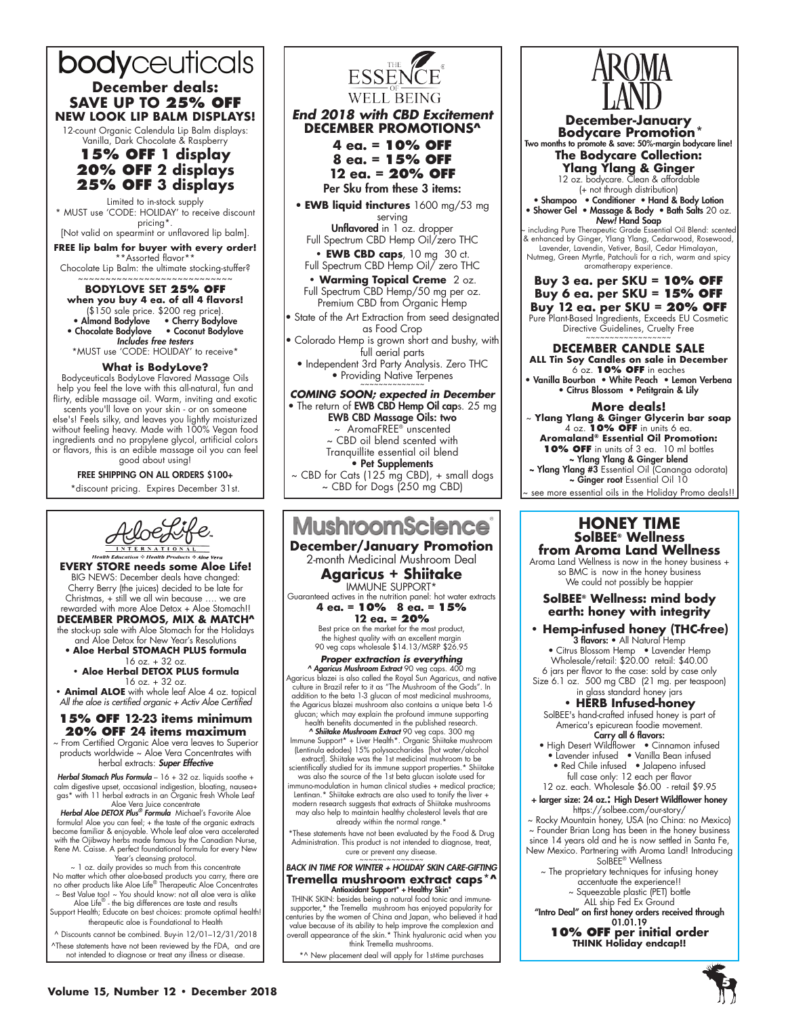# bodyceuticals **December deals:**

**SAVE UP TO 25% OFF NEW LOOK LIP BALM DISPLAYS!**

12-count Organic Calendula Lip Balm displays: Vanilla, Dark Chocolate & Raspberry

### **15% off 1 display 20% off 2 displays 25% off 3 displays**

Limited to in-stock supply \* MUST use 'CODE: HOLIDAY' to receive discount pricing\*. [Not valid on spearmint or unflavored lip balm].

**FREE lip balm for buyer with every order!**

\*Assorted flavor\* Chocolate Lip Balm: the ultimate stocking-stuffer?

~~~~~~~~~~~~~~~~~~~~~~~~~~~~ **BODYLOVE SET 25% off when you buy 4 ea. of all 4 flavors!** (\$150 sale price. \$200 reg price). • Almond Bodylove • Cherry Bodylove

• Chocolate Bodylove • Coconut Bodylove *Includes free testers* \*MUST use 'CODE: HOLIDAY' to receive\*

### **What is BodyLove?**

Bodyceuticals BodyLove Flavored Massage Oils help you feel the love with this all-natural, fun and flirty, edible massage oil. Warm, inviting and exotic

scents you'll love on your skin - or on someone else's! Feels silky, and leaves you lightly moisturized without feeling heavy. Made with 100% Vegan food ingredients and no propylene glycol, artificial colors or flavors, this is an edible massage oil you can feel good about using!

FREE SHIPPING ON ALL ORDERS \$100+ \*discount pricing. Expires December 31st.



**EVERY STORE needs some Aloe Life!** BIG NEWS: December deals have changed: Cherry Berry (the juices) decided to be late for Christmas, + still we all win because …. we are rewarded with more Aloe Detox + Aloe Stomach!!

**December Promos, mix & match^** the stock-up sale with Aloe Stomach for the Holidays

and Aloe Detox for New Year's Resolutions • **Aloe Herbal STOMACH PLUS formula**

16 oz. + 32 oz. **• Aloe Herbal DETOX PLUS formula**  16 oz. + 32 oz.

**• Animal ALOE** with whole leaf Aloe 4 oz. topical *All the aloe is certified organic + Activ Aloe Certified*

### **15% OFF 12-23 items minimum 20% OFF 24 items maximum**

~ From Certified Organic Aloe vera leaves to Superior products worldwide ~ Aloe Vera Concentrates with herbal extracts: *Super Effective*

*Herbal Stomach Plus Formula* – 16 + 32 oz. liquids soothe + calm digestive upset, occasional indigestion, bloating, nausea+ gas\* with 11 herbal extracts in an Organic fresh Whole Leaf Aloe Vera Juice concentrate

*Herbal Aloe DETOX Plus® Formula* Michael's Favorite Aloe formula! Aloe you can feel; + the taste of the organic extracts become familiar & enjoyable. Whole leaf aloe vera accelerated with the Ojibway herbs made famous by the Canadian Nurse, Rene M. Caisse. A perfect foundational formula for every New Year's cleansing protocol.

~ 1 oz. daily provides so much from this concentrate No matter which other aloe-based products you carry, there are no other products like Aloe Life® Therapeutic Aloe Concentrates

~ Best Value too! ~ You should know: not all aloe vera is alike Aloe Life® - the big differences are taste and results Support Health; Educate on best choices: promote optimal health! therapeutic aloe is Foundational to Health

^ Discounts cannot be combined. Buy-in 12/01–12/31/2018 ^These statements have not been reviewed by the FDA, and are not intended to diagnose or treat any illness or disease.



### *End 2018 with CBD Excitement* **DECEMBER PROMOTIONS^**

**4 ea. = 10% off 8 ea. = 15% off**

**12 ea. = 20% off**

Per Sku from these 3 items: • **EWB liquid tinctures** 1600 mg/53 mg

serving Unflavored in 1 oz. dropper

Full Spectrum CBD Hemp Oil/zero THC **• EWB CBD caps**, 10 mg 30 ct.

Full Spectrum CBD Hemp Oil/ zero THC

**• Warming Topical Creme** 2 oz. Full Spectrum CBD Hemp/50 mg per oz. Premium CBD from Organic Hemp

• State of the Art Extraction from seed designated as Food Crop

• Colorado Hemp is grown short and bushy, with full aerial parts

• Independent 3rd Party Analysis. Zero THC • Providing Native Terpenes

**COMING SOON; expected in December** • The return of **EWB CBD Hemp Oil cap**s. 25 mg EWB CBD Massage Oils: two ~ AromaFREE® unscented ~ CBD oil blend scented with Tranquillite essential oil blend • Pet Supplements ~ CBD for Cats (125 mg CBD), + small dogs ~ CBD for Dogs (250 mg CBD)



#### **December/January Promotion** 2-month Medicinal Mushroom Deal

**Agaricus + Shiitake** IMMUNE SUPPORT\* Guaranteed actives in the nutrition panel: hot water extracts

**4 ea. = 10% 8 ea. = 15% 12 ea. = 20%** 

Best price on the market for the most product, the highest quality with an excellent margin 90 veg caps wholesale \$14.13/MSRP \$26.95

*Proper extraction is everything*

*^ Agaricus Mushroom Extract* 90 veg caps. 400 mg Agaricus blazei is also called the Royal Sun Agaricus, and native culture in Brazil refer to it as "The Mushroom of the Gods". In addition to the beta 1-3 glucan of most medicinal mushrooms, the Agaricus blazei mushroom also contains a unique beta 1-6 glucan; which may explain the profound immune supporting

health benefits documented in the published research. *^ Shiitake Mushroom Extract* 90 veg caps. 300 mg Immune Support\* + Liver Health\*. Organic Shiitake mushroom

(Lentinula edodes) 15% polysaccharides [hot water/alcohol extract]. Shiitake was the 1st medicinal mushroom to be scientifically studied for its immune support properties.\* Shiitake

was also the source of the 1st beta glucan isolate used for immuno-modulation in human clinical studies + medical practice; Lentinan.\* Shiitake extracts are also used to tonify the liver + modern research suggests that extracts of Shiitake mushrooms

may also help to maintain healthy cholesterol levels that are already within the normal range.<sup>\*</sup>

\*These statements have not been evaluated by the Food & Drug Administration. This product is not intended to diagnose, treat, cure or prevent any disease.

### *BACK in time for Winter + Holiday Skin Care-gifting* **Tremella mushroom extract caps\*^**

**Antioxidant Support" + Healthy Skin"**<br>THINK SKIN: besides being a natural food tonic and immune-<br>supporter,\* the Tremella mushroom has enjoyed popularity for<br>centuries by the women of China and Japan, who believed it had<br> overall appearance of the skin.\* Think hyaluronic acid when you think Tremella mushrooms

\*^ New placement deal will apply for 1st-time purchases



**December-January** Two months to promote & save: 50%-margin bodycare line! **The Bodycare Collection: Ylang Ylang & Ginger** 12 oz. bodycare. Clean & affordable (+ not through distribution) • Shampoo • Conditioner • Hand & Body Lotion • Shower Gel • Massage & Body • Bath Salts 20 oz. *New!* Hand Soap including Pure Therapeutic Grade Essential Oil Blend: scente & enhanced by Ginger, Ylang Ylang, Cedarwood, Rosewood, Lavender, Lavendin, Vetiver, Basil, Cedar Himalayan, Nutmeg, Green Myrtle, Patchouli for a rich, warm and spicy aromatherapy experience. **Buy 3 ea. per SKU = 10% OFF Buy 6 ea. per SKU = 15% OFF Buy 12 ea. per SKU = 20% OFF** Pure Plant-Based Ingredients, Exceeds EU Cosmetic Directive Guidelines, Cruelty Free

**DECEMBER CANDLE SALE**

**ALL Tin Soy Candles on sale in December** 6 oz. **10% OFF** in eaches • Vanilla Bourbon • White Peach • Lemon Verbena

• Citrus Blossom • Petitgrain & Lily

#### **More deals!**

~ **Ylang Ylang & Ginger Glycerin bar soap** 4 oz. **10% OFF** in units 6 ea. **Aromaland® Essential Oil Promotion: 10% OFF** in units of 3 ea. 10 ml bottles ~ Ylang Ylang & Ginger blend

~ Ylang Ylang #3 Essential Oil (Cananga odorata) ~ Ginger root Essential Oil 10

see more essential oils in the Holiday Promo deals!!

#### **HONEY TIME SolBEE® Wellness from Aroma Land Wellness**

Aroma Land Wellness is now in the honey business + so BMC is now in the honey business We could not possibly be happier

### **SolBEE® Wellness: mind body earth: honey with integrity**

**• Hemp-infused honey (THC-free)** 3 flavors: • All Natural Hemp

• Citrus Blossom Hemp • Lavender Hemp Wholesale/retail: \$20.00 retail: \$40.00 6 jars per flavor to the case: sold by case only Size 6.1 oz. 500 mg CBD (21 mg. per teaspoon) in glass standard honey jars

**• HERB Infused-honey** SolBEE's hand-crafted infused honey is part of

America's epicurean foodie movement. Carry all 6 flavors:

- High Desert Wildflower Cinnamon infused • Lavender infused • Vanilla Bean infused
- Red Chile infused Jalapeno infused full case only: 12 each per flavor 12 oz. each. Wholesale \$6.00 - retail \$9.95

+ larger size: 24 oz.: High Desert Wildflower honey https://solbee.com/our-story/

~ Rocky Mountain honey, USA (no China: no Mexico) ~ Founder Brian Long has been in the honey business since 14 years old and he is now settled in Santa Fe, New Mexico. Partnering with Aroma Land! Introducing SolBEE® Wellness

~ The proprietary techniques for infusing honey accentuate the experience!! ~ Squeezable plastic (PET) bottle

ALL ship Fed Ex Ground

"Intro Deal" on first honey orders received through 01.01.19 **10% OFF per initial order**

**THINK Holiday endcap!!**

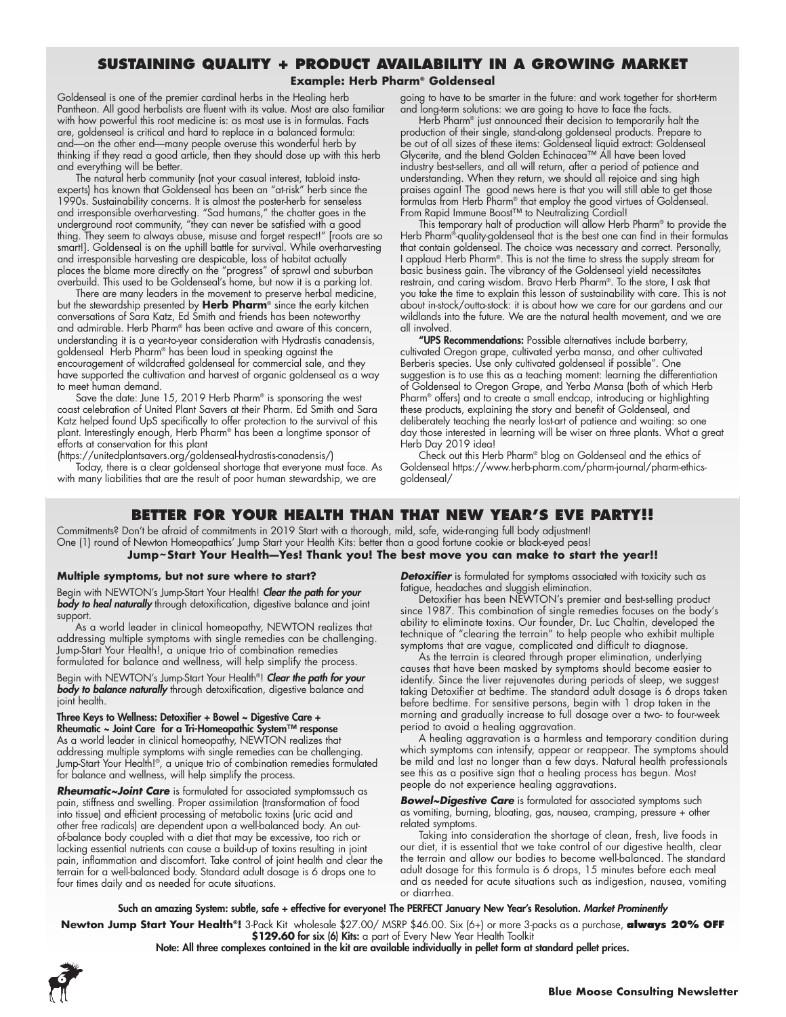### **Sustaining Quality + Product Availability in a Growing Market**

#### **Example: Herb Pharm® Goldenseal**

Goldenseal is one of the premier cardinal herbs in the Healing herb Pantheon. All good herbalists are fluent with its value. Most are also familiar with how powerful this root medicine is: as most use is in formulas. Facts are, goldenseal is critical and hard to replace in a balanced formula: and—on the other end—many people overuse this wonderful herb by thinking if they read a good article, then they should dose up with this herb and everything will be better.

The natural herb community (not your casual interest, tabloid instaexperts) has known that Goldenseal has been an "at-risk" herb since the 1990s. Sustainability concerns. It is almost the poster-herb for senseless and irresponsible overharvesting. "Sad humans," the chatter goes in the underground root community, "they can never be satisfied with a good thing. They seem to always abuse, misuse and forget respect!" [roots are so smart!]. Goldenseal is on the uphill battle for survival. While overharvesting and irresponsible harvesting are despicable, loss of habitat actually places the blame more directly on the "progress" of sprawl and suburban overbuild. This used to be Goldenseal's home, but now it is a parking lot.

There are many leaders in the movement to preserve herbal medicine, but the stewardship presented by **Herb Pharm**® since the early kitchen conversations of Sara Katz, Ed Smith and friends has been noteworthy and admirable. Herb Pharm® has been active and aware of this concern, understanding it is a year-to-year consideration with Hydrastis canadensis, goldenseal Herb Pharm® has been loud in speaking against the encouragement of wildcrafted goldenseal for commercial sale, and they have supported the cultivation and harvest of organic goldenseal as a way to meet human demand.

Save the date: June 15, 2019 Herb Pharm® is sponsoring the west coast celebration of United Plant Savers at their Pharm. Ed Smith and Sara Katz helped found UpS specifically to offer protection to the survival of this plant. Interestingly enough, Herb Pharm® has been a longtime sponsor of efforts at conservation for this plant

(https://unitedplantsavers.org/goldenseal-hydrastis-canadensis/)

Today, there is a clear goldenseal shortage that everyone must face. As with many liabilities that are the result of poor human stewardship, we are

going to have to be smarter in the future: and work together for short-term and long-term solutions: we are going to have to face the facts.

Herb Pharm® just announced their decision to temporarily halt the production of their single, stand-along goldenseal products. Prepare to be out of all sizes of these items: Goldenseal liquid extract: Goldenseal Glycerite, and the blend Golden Echinacea™ All have been loved industry best-sellers, and all will return, after a period of patience and understanding. When they return, we should all rejoice and sing high praises again! The good news here is that you will still able to get those formulas from Herb Pharm® that employ the good virtues of Goldenseal. From Rapid Immune Boost™ to Neutralizing Cordial!

This temporary halt of production will allow Herb Pharm® to provide the Herb Pharm®-quality-goldenseal that is the best one can find in their formulas that contain goldenseal. The choice was necessary and correct. Personally, I applaud Herb Pharm®. This is not the time to stress the supply stream for basic business gain. The vibrancy of the Goldenseal yield necessitates restrain, and caring wisdom. Bravo Herb Pharm®. To the store, I ask that you take the time to explain this lesson of sustainability with care. This is not about in-stock/outta-stock: it is about how we care for our gardens and our wildlands into the future. We are the natural health movement, and we are all involved.

"UPS Recommendations: Possible alternatives include barberry, cultivated Oregon grape, cultivated yerba mansa, and other cultivated Berberis species. Use only cultivated goldenseal if possible". One suggestion is to use this as a teaching moment: learning the differentiation of Goldenseal to Oregon Grape, and Yerba Mansa (both of which Herb Pharm® offers) and to create a small endcap, introducing or highlighting these products, explaining the story and benefit of Goldenseal, and deliberately teaching the nearly lost-art of patience and waiting: so one day those interested in learning will be wiser on three plants. What a great Herb Day 2019 idea!

Check out this Herb Pharm® blog on Goldenseal and the ethics of Goldenseal https://www.herb-pharm.com/pharm-journal/pharm-ethicsgoldenseal/

### **Better for Your Health than that New Year's Eve Party!!**

Commitments? Don't be afraid of commitments in 2019 Start with a thorough, mild, safe, wide-ranging full body adjustment! One (1) round of Newton Homeopathics' Jump Start your Health Kits: better than a good fortune cookie or black-eyed peas! **Jump~Start Your Health—Yes! Thank you! The best move you can make to start the year!!**

#### **Multiple symptoms, but not sure where to start?**

Begin with NEWTON's Jump-Start Your Health! *Clear the path for your body to heal naturally* through detoxification, digestive balance and joint support.

As a world leader in clinical homeopathy, NEWTON realizes that addressing multiple symptoms with single remedies can be challenging. Jump-Start Your Health!, a unique trio of combination remedies formulated for balance and wellness, will help simplify the process.

Begin with NEWTON's Jump-Start Your Health®! *Clear the path for your body to balance naturally* through detoxification, digestive balance and joint health.

Three Keys to Wellness: Detoxifier + Bowel ~ Digestive Care + Rheumatic ~ Joint Care for a Tri-Homeopathic System™ response As a world leader in clinical homeopathy, NEWTON realizes that addressing multiple symptoms with single remedies can be challenging. Jump-Start Your Health!®, a unique trio of combination remedies formulated for balance and wellness, will help simplify the process.

*Rheumatic~Joint Care* is formulated for associated symptomssuch as pain, stiffness and swelling. Proper assimilation (transformation of food into tissue) and efficient processing of metabolic toxins (uric acid and other free radicals) are dependent upon a well-balanced body. An outof-balance body coupled with a diet that may be excessive, too rich or lacking essential nutrients can cause a build-up of toxins resulting in joint pain, inflammation and discomfort. Take control of joint health and clear the terrain for a well-balanced body. Standard adult dosage is 6 drops one to four times daily and as needed for acute situations.

**Detoxifier** is formulated for symptoms associated with toxicity such as fatigue, headaches and sluggish elimination.

Detoxifier has been NEWTON's premier and best-selling product since 1987. This combination of single remedies focuses on the body's ability to eliminate toxins. Our founder, Dr. Luc Chaltin, developed the technique of "clearing the terrain" to help people who exhibit multiple symptoms that are vague, complicated and difficult to diagnose.

As the terrain is cleared through proper elimination, underlying causes that have been masked by symptoms should become easier to identify. Since the liver rejuvenates during periods of sleep, we suggest taking Detoxifier at bedtime. The standard adult dosage is 6 drops taken before bedtime. For sensitive persons, begin with 1 drop taken in the morning and gradually increase to full dosage over a two- to four-week period to avoid a healing aggravation.

A healing aggravation is a harmless and temporary condition during which symptoms can intensify, appear or reappear. The symptoms should be mild and last no longer than a few days. Natural health professionals see this as a positive sign that a healing process has begun. Most people do not experience healing aggravations.

**Bowel~Digestive Care** is formulated for associated symptoms such as vomiting, burning, bloating, gas, nausea, cramping, pressure + other related symptoms.

Taking into consideration the shortage of clean, fresh, live foods in our diet, it is essential that we take control of our digestive health, clear the terrain and allow our bodies to become well-balanced. The standard adult dosage for this formula is 6 drops, 15 minutes before each meal and as needed for acute situations such as indigestion, nausea, vomiting or diarrhea.

#### Such an amazing System: subtle, safe + effective for everyone! The PERFECT January New Year's Resolution. *Market Prominently*

**Newton Jump Start Your Health®!** 3-Pack Kit wholesale \$27.00/ MSRP \$46.00. Six (6+) or more 3-packs as a purchase, **always 20% OFF** \$129.60 for six (6) Kits: a part of Every New Year Health Toolkit

Note: All three complexes contained in the kit are available individually in pellet form at standard pellet prices.

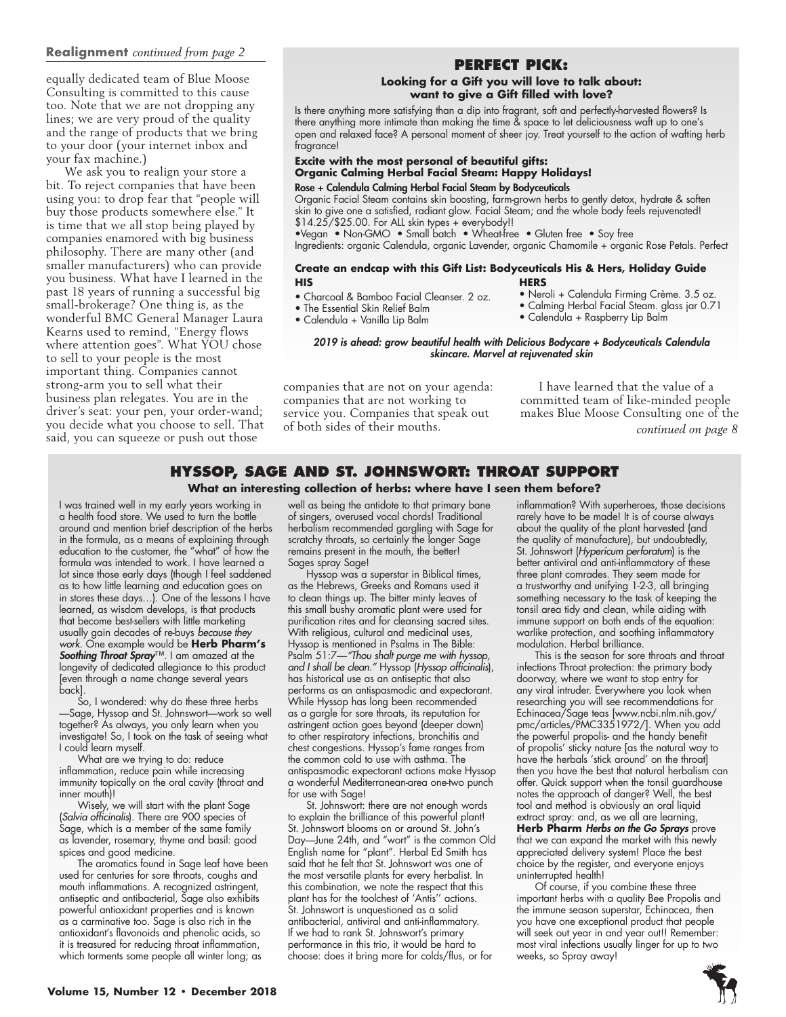### **Realignment** *continued from page 2*

equally dedicated team of Blue Moose Consulting is committed to this cause too. Note that we are not dropping any lines; we are very proud of the quality and the range of products that we bring to your door (your internet inbox and your fax machine.)

We ask you to realign your store a bit. To reject companies that have been using you: to drop fear that "people will buy those products somewhere else." It is time that we all stop being played by companies enamored with big business philosophy. There are many other (and smaller manufacturers) who can provide you business. What have I learned in the past 18 years of running a successful big small-brokerage? One thing is, as the wonderful BMC General Manager Laura Kearns used to remind, "Energy flows where attention goes". What YOU chose to sell to your people is the most important thing. Companies cannot strong-arm you to sell what their business plan relegates. You are in the driver's seat: your pen, your order-wand; you decide what you choose to sell. That said, you can squeeze or push out those

### **Perfect Pick:**

#### **Looking for a Gift you will love to talk about: want to give a Gift filled with love?**

Is there anything more satisfying than a dip into fragrant, soft and perfectly-harvested flowers? Is there anything more intimate than making the time & space to let deliciousness waft up to one's open and relaxed face? A personal moment of sheer joy. Treat yourself to the action of wafting herb fragrance!

### **Excite with the most personal of beautiful gifts: Organic Calming Herbal Facial Steam: Happy Holidays!**

#### Rose + Calendula Calming Herbal Facial Steam by Bodyceuticals

Organic Facial Steam contains skin boosting, farm-grown herbs to gently detox, hydrate & soften skin to give one a satisfied, radiant glow. Facial Steam; and the whole body feels rejuvenated! \$14.25/\$25.00. For ALL skin types + everybody!!

•Vegan • Non-GMO • Small batch • Wheat-free • Gluten free • Soy free

Ingredients: organic Calendula, organic Lavender, organic Chamomile + organic Rose Petals. Perfect

#### **Create an endcap with this Gift List: Bodyceuticals His & Hers, Holiday Guide HIS HERS**

- Charcoal & Bamboo Facial Cleanser. 2 oz. • The Essential Skin Relief Balm
- Neroli + Calendula Firming Crème. 3.5 oz. • Calming Herbal Facial Steam. glass jar 0.71
	- Calendula + Raspberry Lip Balm

• Calendula + Vanilla Lip Balm

*2019 is ahead: grow beautiful health with Delicious Bodycare + Bodyceuticals Calendula skincare. Marvel at rejuvenated skin*

companies that are not on your agenda: companies that are not working to service you. Companies that speak out of both sides of their mouths.

I have learned that the value of a committed team of like-minded people makes Blue Moose Consulting one of the *continued on page 8*

### **Hyssop, Sage and St. Johnswort: throat support**

**What an interesting collection of herbs: where have I seen them before?**

I was trained well in my early years working in a health food store. We used to turn the bottle around and mention brief description of the herbs in the formula, as a means of explaining through education to the customer, the "what" of how the formula was intended to work. I have learned a lot since those early days (though I feel saddened as to how little learning and education goes on in stores these days…). One of the lessons I have learned, as wisdom develops, is that products that become best-sellers with little marketing usually gain decades of re-buys *because they work*. One example would be **Herb Pharm's**  *Soothing Throat Spray*™. I am amazed at the longevity of dedicated allegiance to this product [even through a name change several years back].

So, I wondered: why do these three herbs —Sage, Hyssop and St. Johnswort—work so well together? As always, you only learn when you investigate! So, I took on the task of seeing what I could learn myself.

What are we trying to do: reduce inflammation, reduce pain while increasing immunity topically on the oral cavity (throat and inner mouth)!

Wisely, we will start with the plant Sage (*Salvia officinalis*). There are 900 species of Sage, which is a member of the same family as lavender, rosemary, thyme and basil: good spices and good medicine.

The aromatics found in Sage leaf have been used for centuries for sore throats, coughs and mouth inflammations. A recognized astringent, antiseptic and antibacterial, Sage also exhibits powerful antioxidant properties and is known as a carminative too. Sage is also rich in the antioxidant's flavonoids and phenolic acids, so it is treasured for reducing throat inflammation, which torments some people all winter long; as

well as being the antidote to that primary bane of singers, overused vocal chords! Traditional herbalism recommended gargling with Sage for scratchy throats, so certainly the longer Sage remains present in the mouth, the better! Sages spray Sage!

Hyssop was a superstar in Biblical times, as the Hebrews, Greeks and Romans used it to clean things up. The bitter minty leaves of this small bushy aromatic plant were used for purification rites and for cleansing sacred sites. With religious, cultural and medicinal uses, Hyssop is mentioned in Psalms in The Bible: Psalm 51:7—*"Thou shalt purge me with hyssop, and I shall be clean."* Hyssop (*Hyssop officinalis*), has historical use as an antiseptic that also performs as an antispasmodic and expectorant. While Hyssop has long been recommended as a gargle for sore throats, its reputation for astringent action goes beyond (deeper down) to other respiratory infections, bronchitis and chest congestions. Hyssop's fame ranges from the common cold to use with asthma. The antispasmodic expectorant actions make Hyssop a wonderful Mediterranean-area one-two punch for use with Sage!

St. Johnswort: there are not enough words to explain the brilliance of this powerful plant! St. Johnswort blooms on or around St. John's Day—June 24th, and "wort" is the common Old English name for "plant". Herbal Ed Smith has said that he felt that St. Johnswort was one of the most versatile plants for every herbalist. In this combination, we note the respect that this plant has for the toolchest of 'Antis'' actions. St. Johnswort is unquestioned as a solid antibacterial, antiviral and anti-inflammatory. If we had to rank St. Johnswort's primary performance in this trio, it would be hard to choose: does it bring more for colds/flus, or for

inflammation? With superheroes, those decisions rarely have to be made! It is of course always about the quality of the plant harvested (and the quality of manufacture), but undoubtedly, St. Johnswort (*Hypericum perforatum*) is the better antiviral and anti-inflammatory of these three plant comrades. They seem made for a trustworthy and unifying 1-2-3, all bringing something necessary to the task of keeping the tonsil area tidy and clean, while aiding with immune support on both ends of the equation: warlike protection, and soothing inflammatory modulation. Herbal brilliance.

This is the season for sore throats and throat infections Throat protection: the primary body doorway, where we want to stop entry for any viral intruder. Everywhere you look when researching you will see recommendations for Echinacea/Sage teas [www.ncbi.nlm.nih.gov/ pmc/articles/PMC3351972/]. When you add the powerful propolis- and the handy benefit of propolis' sticky nature [as the natural way to have the herbals 'stick around' on the throat] then you have the best that natural herbalism can offer. Quick support when the tonsil guardhouse notes the approach of danger? Well, the best tool and method is obviously an oral liquid extract spray: and, as we all are learning, **Herb Pharm** *Herbs on the Go Sprays* prove that we can expand the market with this newly appreciated delivery system! Place the best choice by the register, and everyone enjoys uninterrupted health!

Of course, if you combine these three important herbs with a quality Bee Propolis and the immune season superstar, Echinacea, then you have one exceptional product that people will seek out year in and year out!! Remember: most viral infections usually linger for up to two weeks, so Spray away!